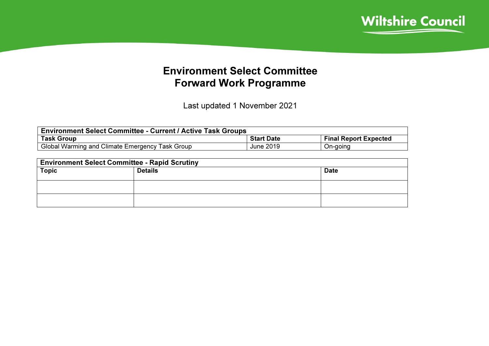

## Environment Select Committee Forward Work Programme

Last updated 1 November 2021

| <b>Environment Select Committee - Current / Active Task Groups</b> |                   |                              |  |  |  |  |
|--------------------------------------------------------------------|-------------------|------------------------------|--|--|--|--|
| <b>Task Group</b>                                                  | <b>Start Date</b> | <b>Final Report Expected</b> |  |  |  |  |
| Global Warming and Climate Emergency Task Group                    | June 2019         | On-going                     |  |  |  |  |

| <b>Environment Select Committee - Rapid Scrutiny</b> |             |  |  |  |  |  |
|------------------------------------------------------|-------------|--|--|--|--|--|
| <b>Topic</b>                                         | <b>Date</b> |  |  |  |  |  |
|                                                      |             |  |  |  |  |  |
|                                                      |             |  |  |  |  |  |
|                                                      |             |  |  |  |  |  |
|                                                      |             |  |  |  |  |  |
|                                                      |             |  |  |  |  |  |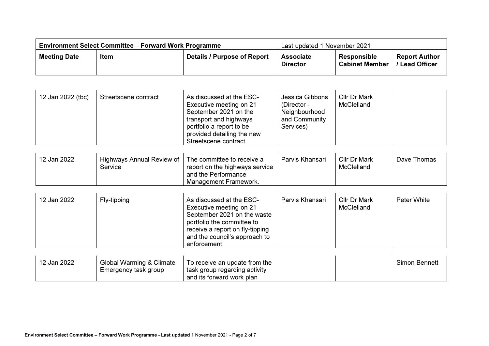| <b>Environment Select Committee – Forward Work Programme</b> |      |                             | Last updated 1 November 2021        |                                             |                                             |
|--------------------------------------------------------------|------|-----------------------------|-------------------------------------|---------------------------------------------|---------------------------------------------|
| <b>Meeting Date</b>                                          | Item | Details / Purpose of Report | <b>Associate</b><br><b>Director</b> | <b>Responsible</b><br><b>Cabinet Member</b> | <b>Report Author</b><br><b>Lead Officer</b> |

| 12 Jan 2022 (tbc) | Streetscene contract | As discussed at the ESC-<br>Executive meeting on 21<br>September 2021 on the<br>transport and highways<br>portfolio a report to be<br>provided detailing the new<br>Streetscene contract. | Jessica Gibbons<br>(Director -<br>Neighbourhood<br>and Community<br>Services) | Cllr Dr Mark<br>McClelland |  |
|-------------------|----------------------|-------------------------------------------------------------------------------------------------------------------------------------------------------------------------------------------|-------------------------------------------------------------------------------|----------------------------|--|
|-------------------|----------------------|-------------------------------------------------------------------------------------------------------------------------------------------------------------------------------------------|-------------------------------------------------------------------------------|----------------------------|--|

| 12 Jan 2022 | Highways Annual Review of   The committee to receive a<br>Service | report on the highways service | Parvis Khansari | <b>Cllr Dr Mark</b><br>McClelland | Dave Thomas |
|-------------|-------------------------------------------------------------------|--------------------------------|-----------------|-----------------------------------|-------------|
|             |                                                                   | and the Performance            |                 |                                   |             |
|             |                                                                   | Management Framework.          |                 |                                   |             |

| 12 Jan 2022 | Fly-tipping                         | As discussed at the ESC-<br>Executive meeting on 21<br>September 2021 on the waste<br>portfolio the committee to<br>receive a report on fly-tipping<br>and the council's approach to<br>enforcement. | Parvis Khansari | Cllr Dr Mark<br><b>McClelland</b> | Peter White   |
|-------------|-------------------------------------|------------------------------------------------------------------------------------------------------------------------------------------------------------------------------------------------------|-----------------|-----------------------------------|---------------|
| 12 Jan 2022 | <b>Global Warming &amp; Climate</b> | To receive an update from the                                                                                                                                                                        |                 |                                   | Simon Bennett |

| 12 Jan 2022 | Global Warming & Climate | 'To receive an update from the |  | <b>Simon Bennett</b> |
|-------------|--------------------------|--------------------------------|--|----------------------|
|             | Emergency task group     | task group regarding activity  |  |                      |
|             |                          | and its forward work plan      |  |                      |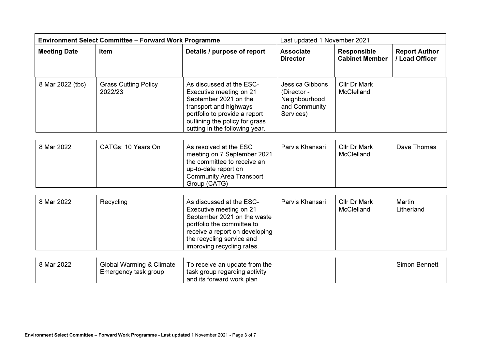| <b>Environment Select Committee - Forward Work Programme</b> |                                                  | Last updated 1 November 2021                                                                                                                                                                                  |                                                                                      |                                             |                                        |
|--------------------------------------------------------------|--------------------------------------------------|---------------------------------------------------------------------------------------------------------------------------------------------------------------------------------------------------------------|--------------------------------------------------------------------------------------|---------------------------------------------|----------------------------------------|
| <b>Meeting Date</b>                                          | Item                                             | Details / purpose of report                                                                                                                                                                                   | <b>Associate</b><br><b>Director</b>                                                  | <b>Responsible</b><br><b>Cabinet Member</b> | <b>Report Author</b><br>/ Lead Officer |
| 8 Mar 2022 (tbc)                                             | <b>Grass Cutting Policy</b><br>2022/23           | As discussed at the ESC-<br>Executive meeting on 21<br>September 2021 on the<br>transport and highways<br>portfolio to provide a report<br>outlining the policy for grass<br>cutting in the following year.   | <b>Jessica Gibbons</b><br>(Director -<br>Neighbourhood<br>and Community<br>Services) | Cllr Dr Mark<br>McClelland                  |                                        |
| 8 Mar 2022                                                   | CATGs: 10 Years On                               | As resolved at the ESC<br>meeting on 7 September 2021<br>the committee to receive an<br>up-to-date report on<br><b>Community Area Transport</b><br>Group (CATG)                                               | Parvis Khansari                                                                      | Cllr Dr Mark<br>McClelland                  | Dave Thomas                            |
| 8 Mar 2022                                                   | Recycling                                        | As discussed at the ESC-<br>Executive meeting on 21<br>September 2021 on the waste<br>portfolio the committee to<br>receive a report on developing<br>the recycling service and<br>improving recycling rates. | Parvis Khansari                                                                      | Cllr Dr Mark<br><b>McClelland</b>           | Martin<br>Litherland                   |
| 8 Mar 2022                                                   | Global Warming & Climate<br>Emergency task group | To receive an update from the<br>task group regarding activity<br>and its forward work plan                                                                                                                   |                                                                                      |                                             | Simon Bennett                          |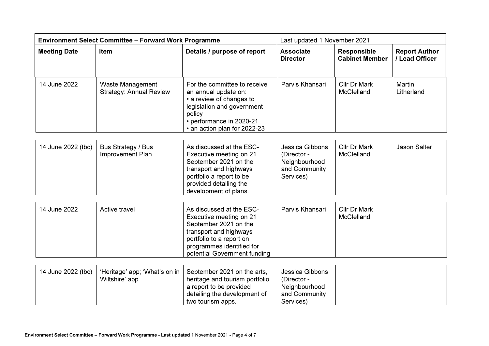| <b>Environment Select Committee - Forward Work Programme</b> |                                                           | Last updated 1 November 2021                                                                                                                                                                    |                                                                               |                                             |                                        |
|--------------------------------------------------------------|-----------------------------------------------------------|-------------------------------------------------------------------------------------------------------------------------------------------------------------------------------------------------|-------------------------------------------------------------------------------|---------------------------------------------|----------------------------------------|
| <b>Meeting Date</b>                                          | Item                                                      | Details / purpose of report                                                                                                                                                                     | <b>Associate</b><br><b>Director</b>                                           | <b>Responsible</b><br><b>Cabinet Member</b> | <b>Report Author</b><br>/ Lead Officer |
| 14 June 2022                                                 | <b>Waste Management</b><br><b>Strategy: Annual Review</b> | For the committee to receive<br>an annual update on:<br>• a review of changes to<br>legislation and government<br>policy<br>• performance in 2020-21<br>• an action plan for 2022-23            | Parvis Khansari                                                               | Cllr Dr Mark<br>McClelland                  | <b>Martin</b><br>Litherland            |
| 14 June 2022 (tbc)                                           | Bus Strategy / Bus<br>Improvement Plan                    | As discussed at the ESC-<br>Executive meeting on 21<br>September 2021 on the<br>transport and highways<br>portfolio a report to be<br>provided detailing the<br>development of plans.           | Jessica Gibbons<br>(Director -<br>Neighbourhood<br>and Community<br>Services) | Cllr Dr Mark<br>McClelland                  | <b>Jason Salter</b>                    |
| 14 June 2022                                                 | Active travel                                             | As discussed at the ESC-<br>Executive meeting on 21<br>September 2021 on the<br>transport and highways<br>portfolio to a report on<br>programmes identified for<br>potential Government funding | Parvis Khansari                                                               | Cllr Dr Mark<br>McClelland                  |                                        |
| 14 June 2022 (tbc)                                           | 'Heritage' app; 'What's on in<br>Wiltshire' app           | September 2021 on the arts,<br>heritage and tourism portfolio<br>a report to be provided<br>detailing the development of<br>two tourism apps.                                                   | Jessica Gibbons<br>(Director -<br>Neighbourhood<br>and Community<br>Services) |                                             |                                        |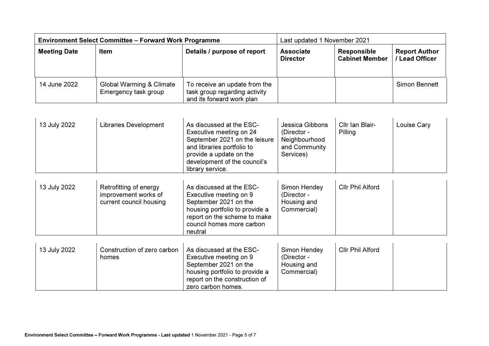| <b>Environment Select Committee - Forward Work Programme</b> |                                                  |                                                                                             | Last updated 1 November 2021        |                                      |                                      |
|--------------------------------------------------------------|--------------------------------------------------|---------------------------------------------------------------------------------------------|-------------------------------------|--------------------------------------|--------------------------------------|
| <b>Meeting Date</b>                                          | Item                                             | Details / purpose of report                                                                 | <b>Associate</b><br><b>Director</b> | Responsible<br><b>Cabinet Member</b> | <b>Report Author</b><br>Lead Officer |
| 14 June 2022                                                 | Global Warming & Climate<br>Emergency task group | To receive an update from the<br>task group regarding activity<br>and its forward work plan |                                     |                                      | Simon Bennett                        |

| 13 July 2022 | <b>Libraries Development</b>                                              | As discussed at the ESC-<br>Executive meeting on 24<br>September 2021 on the leisure<br>and libraries portfolio to<br>provide a update on the<br>development of the council's<br>library service. | Jessica Gibbons<br>(Director -<br>Neighbourhood<br>and Community<br>Services) | Cllr Ian Blair-<br>Pilling | Louise Cary |
|--------------|---------------------------------------------------------------------------|---------------------------------------------------------------------------------------------------------------------------------------------------------------------------------------------------|-------------------------------------------------------------------------------|----------------------------|-------------|
| 13 July 2022 | Retrofitting of energy<br>improvement works of<br>current council housing | As discussed at the ESC-<br>Executive meeting on 9<br>September 2021 on the<br>housing portfolio to provide a<br>report on the scheme to make                                                     | Simon Hendey<br>(Director -<br>Housing and<br>Commercial)                     | Cllr Phil Alford           |             |

| 13 July 2022 | Construction of zero carbon<br>homes | As discussed at the ESC-<br>Executive meeting on 9<br>September 2021 on the<br>housing portfolio to provide a<br>report on the construction of<br>zero carbon homes. | Simon Hendey<br>(Director -<br>Housing and<br>Commercial) | <b>Cllr Phil Alford</b> |  |
|--------------|--------------------------------------|----------------------------------------------------------------------------------------------------------------------------------------------------------------------|-----------------------------------------------------------|-------------------------|--|
|--------------|--------------------------------------|----------------------------------------------------------------------------------------------------------------------------------------------------------------------|-----------------------------------------------------------|-------------------------|--|

council homes more carbon

neutral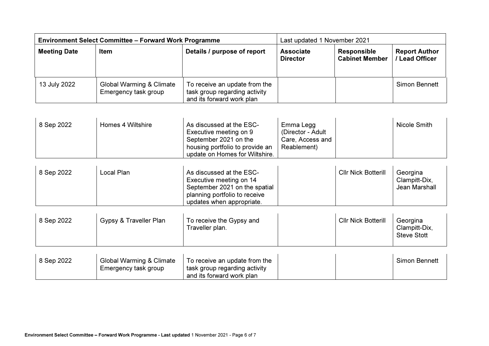| <b>Environment Select Committee - Forward Work Programme</b> |                                                  |                                                                                             | Last updated 1 November 2021        |                                             |                                      |
|--------------------------------------------------------------|--------------------------------------------------|---------------------------------------------------------------------------------------------|-------------------------------------|---------------------------------------------|--------------------------------------|
| <b>Meeting Date</b>                                          | Item                                             | Details / purpose of report                                                                 | <b>Associate</b><br><b>Director</b> | <b>Responsible</b><br><b>Cabinet Member</b> | <b>Report Author</b><br>Lead Officer |
| 13 July 2022                                                 | Global Warming & Climate<br>Emergency task group | To receive an update from the<br>task group regarding activity<br>and its forward work plan |                                     |                                             | <b>Simon Bennett</b>                 |

| 8 Sep 2022 | Homes 4 Wiltshire | As discussed at the ESC-<br>Executive meeting on 9<br>September 2021 on the | Emma Legg<br>(Director - Adult<br>Care, Access and | Nicole Smith |
|------------|-------------------|-----------------------------------------------------------------------------|----------------------------------------------------|--------------|
|            |                   | housing portfolio to provide an<br>update on Homes for Wiltshire.           | Reablement)                                        |              |

| 8 Sep 2022 | Local Plan | As discussed at the ESC-<br>Executive meeting on 14<br>September 2021 on the spatial | <b>CIIr Nick Botterill</b> | Georgina<br>Clampitt-Dix.<br>Jean Marshall |
|------------|------------|--------------------------------------------------------------------------------------|----------------------------|--------------------------------------------|
|            |            | planning portfolio to receive                                                        |                            |                                            |
|            |            | updates when appropriate.                                                            |                            |                                            |

| 8 Sep 2022 | Gypsy & Traveller Plan              | To receive the Gypsy and<br>Traveller plan. | <b>Cllr Nick Botterill</b> | Georgina<br>Clampitt-Dix,<br><b>Steve Stott</b> |
|------------|-------------------------------------|---------------------------------------------|----------------------------|-------------------------------------------------|
| 8 Sep 2022 | <b>Global Warming &amp; Climate</b> | To receive an update from the               |                            | Simon Bennett                                   |

| 8 Sep 2022 | Global Warming & Climate | To receive an update from the |  | Simon Bennett |
|------------|--------------------------|-------------------------------|--|---------------|
|            | Emergency task group     | task group regarding activity |  |               |
|            |                          | and its forward work plan     |  |               |